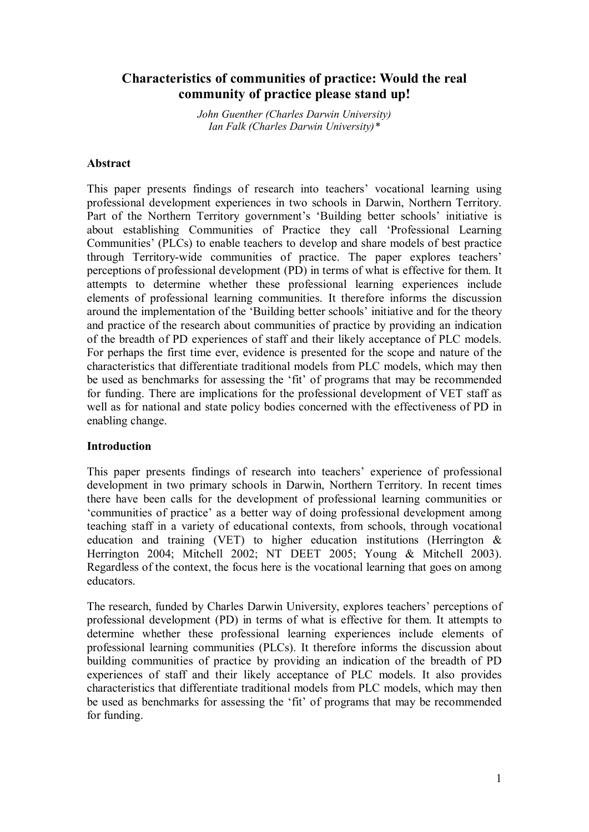# **Characteristics of communities of practice: Would the real community of practice please stand up!**

*John Guenther (Charles Darwin University) Ian Falk (Charles Darwin University)\**

## **Abstract**

This paper presents findings of research into teachers' vocational learning using professional development experiences in two schools in Darwin, Northern Territory. Part of the Northern Territory government's 'Building better schools' initiative is about establishing Communities of Practice they call 'Professional Learning Communities' (PLCs) to enable teachers to develop and share models of best practice through Territory-wide communities of practice. The paper explores teachers' perceptions of professional development (PD) in terms of what is effective for them. It attempts to determine whether these professional learning experiences include elements of professional learning communities. It therefore informs the discussion around the implementation of the 'Building better schools' initiative and for the theory and practice of the research about communities of practice by providing an indication of the breadth of PD experiences of staff and their likely acceptance of PLC models. For perhaps the first time ever, evidence is presented for the scope and nature of the characteristics that differentiate traditional models from PLC models, which may then be used as benchmarks for assessing the 'fit' of programs that may be recommended for funding. There are implications for the professional development of VET staff as well as for national and state policy bodies concerned with the effectiveness of PD in enabling change.

# **Introduction**

This paper presents findings of research into teachers' experience of professional development in two primary schools in Darwin, Northern Territory. In recent times there have been calls for the development of professional learning communities or 'communities of practice' as a better way of doing professional development among teaching staff in a variety of educational contexts, from schools, through vocational education and training (VET) to higher education institutions (Herrington  $\&$ Herrington 2004; Mitchell 2002; NT DEET 2005; Young & Mitchell 2003). Regardless of the context, the focus here is the vocational learning that goes on among educators.

The research, funded by Charles Darwin University, explores teachers' perceptions of professional development (PD) in terms of what is effective for them. It attempts to determine whether these professional learning experiences include elements of professional learning communities (PLCs). It therefore informs the discussion about building communities of practice by providing an indication of the breadth of PD experiences of staff and their likely acceptance of PLC models. It also provides characteristics that differentiate traditional models from PLC models, which may then be used as benchmarks for assessing the 'fit' of programs that may be recommended for funding.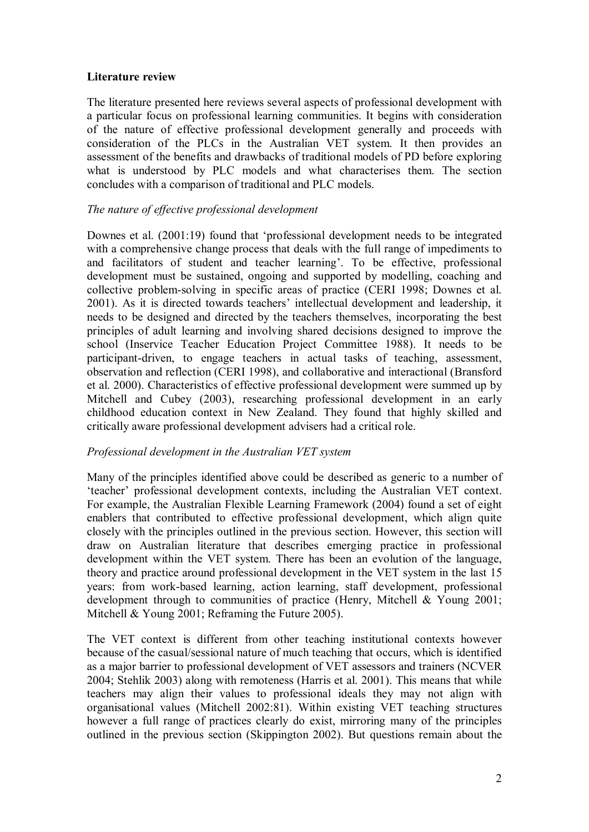# **Literature review**

The literature presented here reviews several aspects of professional development with a particular focus on professional learning communities. It begins with consideration of the nature of effective professional development generally and proceeds with consideration of the PLCs in the Australian VET system. It then provides an assessment of the benefits and drawbacks of traditional models of PD before exploring what is understood by PLC models and what characterises them. The section concludes with a comparison of traditional and PLC models.

# *The nature of effective professional development*

Downes et al. (2001:19) found that 'professional development needs to be integrated with a comprehensive change process that deals with the full range of impediments to and facilitators of student and teacher learning'. To be effective, professional development must be sustained, ongoing and supported by modelling, coaching and collective problem-solving in specific areas of practice (CERI 1998; Downes et al. 2001). As it is directed towards teachers' intellectual development and leadership, it needs to be designed and directed by the teachers themselves, incorporating the best principles of adult learning and involving shared decisions designed to improve the school (Inservice Teacher Education Project Committee 1988). It needs to be participant-driven, to engage teachers in actual tasks of teaching, assessment, observation and reflection (CERI 1998), and collaborative and interactional (Bransford et al. 2000). Characteristics of effective professional development were summed up by Mitchell and Cubey (2003), researching professional development in an early childhood education context in New Zealand. They found that highly skilled and critically aware professional development advisers had a critical role.

# *Professional development in the Australian VET system*

Many of the principles identified above could be described as generic to a number of 'teacher' professional development contexts, including the Australian VET context. For example, the Australian Flexible Learning Framework (2004) found a set of eight enablers that contributed to effective professional development, which align quite closely with the principles outlined in the previous section. However, this section will draw on Australian literature that describes emerging practice in professional development within the VET system. There has been an evolution of the language, theory and practice around professional development in the VET system in the last 15 years: from work-based learning, action learning, staff development, professional development through to communities of practice (Henry, Mitchell & Young 2001; Mitchell & Young 2001; Reframing the Future 2005).

The VET context is different from other teaching institutional contexts however because of the casual/sessional nature of much teaching that occurs, which is identified as a major barrier to professional development of VET assessors and trainers (NCVER 2004; Stehlik 2003) along with remoteness (Harris et al. 2001). This means that while teachers may align their values to professional ideals they may not align with organisational values (Mitchell 2002:81). Within existing VET teaching structures however a full range of practices clearly do exist, mirroring many of the principles outlined in the previous section (Skippington 2002). But questions remain about the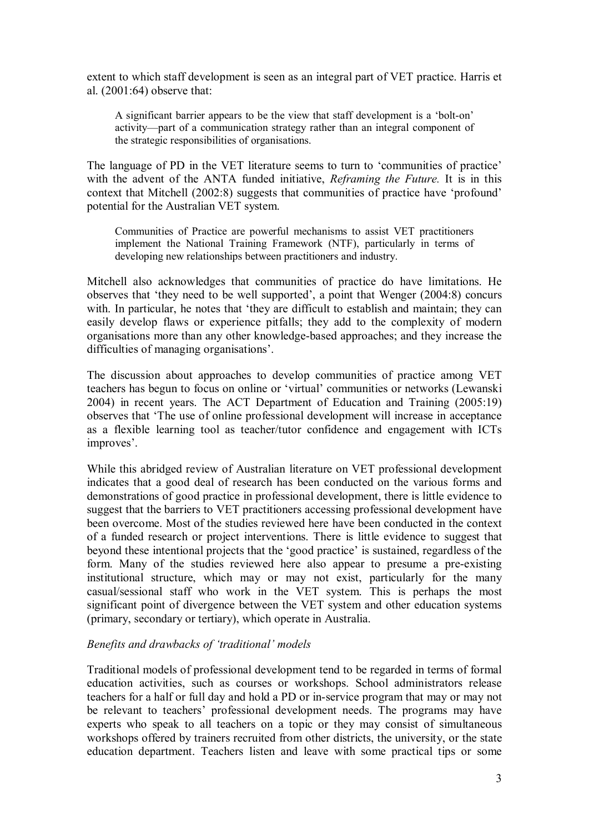extent to which staff development is seen as an integral part of VET practice. Harris et al. (2001:64) observe that:

A significant barrier appears to be the view that staff development is a 'bolt-on' activity—part of a communication strategy rather than an integral component of the strategic responsibilities of organisations.

The language of PD in the VET literature seems to turn to 'communities of practice' with the advent of the ANTA funded initiative, *Reframing the Future*. It is in this context that Mitchell (2002:8) suggests that communities of practice have 'profound' potential for the Australian VET system.

Communities of Practice are powerful mechanisms to assist VET practitioners implement the National Training Framework (NTF), particularly in terms of developing new relationships between practitioners and industry.

Mitchell also acknowledges that communities of practice do have limitations. He observes that 'they need to be well supported', a point that Wenger (2004:8) concurs with. In particular, he notes that 'they are difficult to establish and maintain; they can easily develop flaws or experience pitfalls; they add to the complexity of modern organisations more than any other knowledge-based approaches; and they increase the difficulties of managing organisations'.

The discussion about approaches to develop communities of practice among VET teachers has begun to focus on online or 'virtual' communities or networks (Lewanski 2004) in recent years. The ACT Department of Education and Training (2005:19) observes that 'The use of online professional development will increase in acceptance as a flexible learning tool as teacher/tutor confidence and engagement with ICTs improves'.

While this abridged review of Australian literature on VET professional development indicates that a good deal of research has been conducted on the various forms and demonstrations of good practice in professional development, there is little evidence to suggest that the barriers to VET practitioners accessing professional development have been overcome. Most of the studies reviewed here have been conducted in the context of a funded research or project interventions. There is little evidence to suggest that beyond these intentional projects that the 'good practice' is sustained, regardless of the form. Many of the studies reviewed here also appear to presume a pre-existing institutional structure, which may or may not exist, particularly for the many casual/sessional staff who work in the VET system. This is perhaps the most significant point of divergence between the VET system and other education systems (primary, secondary or tertiary), which operate in Australia.

# *Benefits and drawbacks of 'traditional' models*

Traditional models of professional development tend to be regarded in terms of formal education activities, such as courses or workshops. School administrators release teachers for a half or full day and hold a PD or in-service program that may or may not be relevant to teachers' professional development needs. The programs may have experts who speak to all teachers on a topic or they may consist of simultaneous workshops offered by trainers recruited from other districts, the university, or the state education department. Teachers listen and leave with some practical tips or some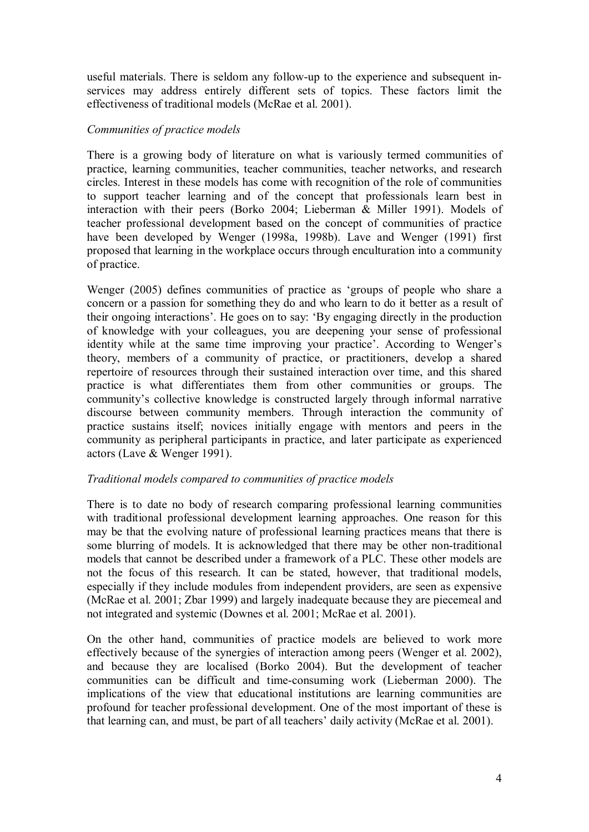useful materials. There is seldom any follow-up to the experience and subsequent inservices may address entirely different sets of topics. These factors limit the effectiveness of traditional models (McRae et al. 2001).

## *Communities of practice models*

There is a growing body of literature on what is variously termed communities of practice, learning communities, teacher communities, teacher networks, and research circles. Interest in these models has come with recognition of the role of communities to support teacher learning and of the concept that professionals learn best in interaction with their peers (Borko 2004; Lieberman & Miller 1991). Models of teacher professional development based on the concept of communities of practice have been developed by Wenger (1998a, 1998b). Lave and Wenger (1991) first proposed that learning in the workplace occurs through enculturation into a community of practice.

Wenger (2005) defines communities of practice as 'groups of people who share a concern or a passion for something they do and who learn to do it better as a result of their ongoing interactions'. He goes on to say: 'By engaging directly in the production of knowledge with your colleagues, you are deepening your sense of professional identity while at the same time improving your practice'. According to Wenger's theory, members of a community of practice, or practitioners, develop a shared repertoire of resources through their sustained interaction over time, and this shared practice is what differentiates them from other communities or groups. The community's collective knowledge is constructed largely through informal narrative discourse between community members. Through interaction the community of practice sustains itself; novices initially engage with mentors and peers in the community as peripheral participants in practice, and later participate as experienced actors (Lave & Wenger 1991).

# *Traditional models compared to communities of practice models*

There is to date no body of research comparing professional learning communities with traditional professional development learning approaches. One reason for this may be that the evolving nature of professional learning practices means that there is some blurring of models. It is acknowledged that there may be other non-traditional models that cannot be described under a framework of a PLC. These other models are not the focus of this research. It can be stated, however, that traditional models, especially if they include modules from independent providers, are seen as expensive (McRae et al. 2001; Zbar 1999) and largely inadequate because they are piecemeal and not integrated and systemic (Downes et al. 2001; McRae et al. 2001).

On the other hand, communities of practice models are believed to work more effectively because of the synergies of interaction among peers (Wenger et al. 2002), and because they are localised (Borko 2004). But the development of teacher communities can be difficult and time-consuming work (Lieberman 2000). The implications of the view that educational institutions are learning communities are profound for teacher professional development. One of the most important of these is that learning can, and must, be part of all teachers' daily activity (McRae et al. 2001).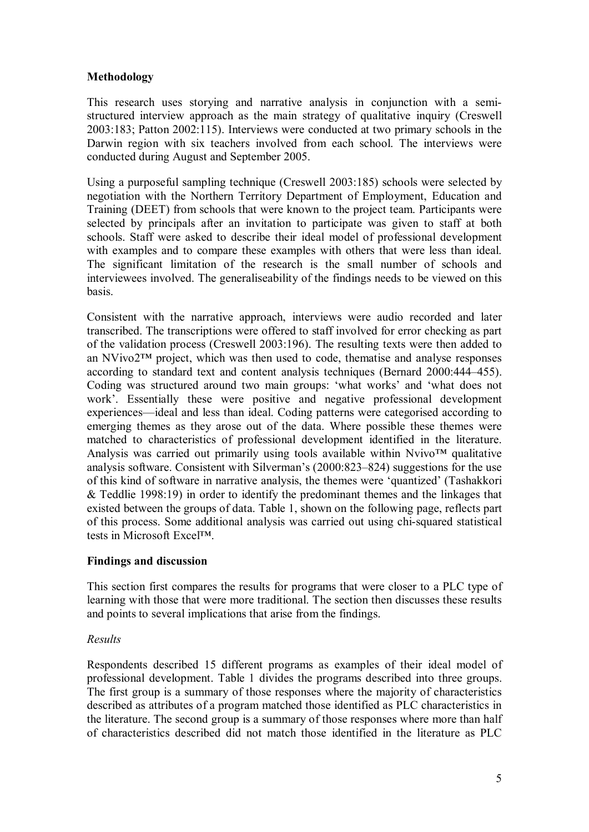# **Methodology**

This research uses storying and narrative analysis in conjunction with a semi structured interview approach as the main strategy of qualitative inquiry (Creswell 2003:183; Patton 2002:115). Interviews were conducted at two primary schools in the Darwin region with six teachers involved from each school. The interviews were conducted during August and September 2005.

Using a purposeful sampling technique (Creswell 2003:185) schools were selected by negotiation with the Northern Territory Department of Employment, Education and Training (DEET) from schools that were known to the project team. Participants were selected by principals after an invitation to participate was given to staff at both schools. Staff were asked to describe their ideal model of professional development with examples and to compare these examples with others that were less than ideal. The significant limitation of the research is the small number of schools and interviewees involved. The generaliseability of the findings needs to be viewed on this basis.

Consistent with the narrative approach, interviews were audio recorded and later transcribed. The transcriptions were offered to staff involved for error checking as part of the validation process (Creswell 2003:196). The resulting texts were then added to an NVivo2™ project, which was then used to code, thematise and analyse responses according to standard text and content analysis techniques (Bernard 2000:444–455). Coding was structured around two main groups: 'what works' and 'what does not work'. Essentially these were positive and negative professional development experiences—ideal and less than ideal. Coding patterns were categorised according to emerging themes as they arose out of the data. Where possible these themes were matched to characteristics of professional development identified in the literature. Analysis was carried out primarily using tools available within  $N$ vivo<sup>TM</sup> qualitative analysis software. Consistent with Silverman's (2000:823–824) suggestions for the use of this kind of software in narrative analysis, the themes were 'quantized' (Tashakkori & Teddlie 1998:19) in order to identify the predominant themes and the linkages that existed between the groups of data. Table 1, shown on the following page, reflects part of this process. Some additional analysis was carried out using chi-squared statistical tests in Microsoft Excel™.

# **Findings and discussion**

This section first compares the results for programs that were closer to a PLC type of learning with those that were more traditional. The section then discusses these results and points to several implications that arise from the findings.

# *Results*

Respondents described 15 different programs as examples of their ideal model of professional development. Table 1 divides the programs described into three groups. The first group is a summary of those responses where the majority of characteristics described as attributes of a program matched those identified as PLC characteristics in the literature. The second group is a summary of those responses where more than half of characteristics described did not match those identified in the literature as PLC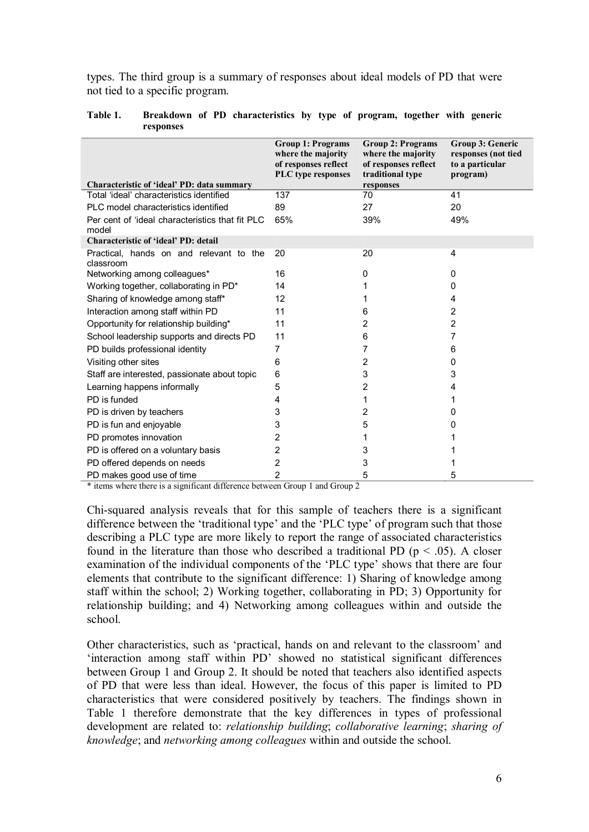types. The third group is a summary of responses about ideal models of PD that were not tied to a specific program.

| Characteristic of 'ideal' PD: data summary               | <b>Group 1: Programs</b><br>where the majority<br>of responses reflect<br><b>PLC</b> type responses | <b>Group 2: Programs</b><br>where the majority<br>of responses reflect<br>traditional type<br>responses | <b>Group 3: Generic</b><br>responses (not tied<br>to a particular<br>program) |
|----------------------------------------------------------|-----------------------------------------------------------------------------------------------------|---------------------------------------------------------------------------------------------------------|-------------------------------------------------------------------------------|
| Total 'ideal' characteristics identified                 | 137                                                                                                 | 70                                                                                                      | 41                                                                            |
| PLC model characteristics identified                     | 89                                                                                                  | 27                                                                                                      | 20                                                                            |
| Per cent of 'ideal characteristics that fit PLC<br>model | 65%                                                                                                 | 39%                                                                                                     | 49%                                                                           |
| <b>Characteristic of 'ideal' PD: detail</b>              |                                                                                                     |                                                                                                         |                                                                               |
| Practical, hands on and relevant to the<br>classroom     | 20                                                                                                  | 20                                                                                                      | 4                                                                             |
| Networking among colleagues*                             | 16                                                                                                  | 0                                                                                                       | 0                                                                             |
| Working together, collaborating in PD*                   | 14                                                                                                  |                                                                                                         | 0                                                                             |
| Sharing of knowledge among staff*                        | 12                                                                                                  |                                                                                                         | 4                                                                             |
| Interaction among staff within PD                        | 11                                                                                                  | 6                                                                                                       | 2                                                                             |
| Opportunity for relationship building*                   | 11                                                                                                  | 2                                                                                                       | 2                                                                             |
| School leadership supports and directs PD                | 11                                                                                                  | 6                                                                                                       | 7                                                                             |
| PD builds professional identity                          | 7                                                                                                   | 7                                                                                                       | 6                                                                             |
| Visiting other sites                                     | 6                                                                                                   | $\overline{c}$                                                                                          | 0                                                                             |
| Staff are interested, passionate about topic             | 6                                                                                                   | 3                                                                                                       | 3                                                                             |
| Learning happens informally                              | 5                                                                                                   | 2                                                                                                       | 4                                                                             |
| PD is funded                                             | 4                                                                                                   |                                                                                                         |                                                                               |
| PD is driven by teachers                                 | 3                                                                                                   | 2                                                                                                       | 0                                                                             |
| PD is fun and enjoyable                                  | 3                                                                                                   | 5                                                                                                       | 0                                                                             |
| PD promotes innovation                                   | 2                                                                                                   |                                                                                                         |                                                                               |
| PD is offered on a voluntary basis                       | 2                                                                                                   | 3                                                                                                       |                                                                               |
| PD offered depends on needs                              | 2                                                                                                   | 3                                                                                                       |                                                                               |
| PD makes good use of time                                | 2                                                                                                   | 5                                                                                                       | 5                                                                             |

#### **Table 1. Breakdown of PD characteristics by type of program, together with generic responses**

\* items where there is a significant difference between Group 1 and Group 2

Chisquared analysis reveals that for this sample of teachers there is a significant difference between the 'traditional type' and the 'PLC type' of program such that those describing a PLC type are more likely to report the range of associated characteristics found in the literature than those who described a traditional PD ( $p < .05$ ). A closer examination of the individual components of the 'PLC type' shows that there are four elements that contribute to the significant difference: 1) Sharing of knowledge among staff within the school; 2) Working together, collaborating in PD; 3) Opportunity for relationship building; and 4) Networking among colleagues within and outside the school.

Other characteristics, such as 'practical, hands on and relevant to the classroom' and 'interaction among staff within PD' showed no statistical significant differences between Group 1 and Group 2. It should be noted that teachers also identified aspects of PD that were less than ideal. However, the focus of this paper is limited to PD characteristics that were considered positively by teachers. The findings shown in Table 1 therefore demonstrate that the key differences in types of professional development are related to: *relationship building*; *collaborative learning*; *sharing of knowledge*; and *networking among colleagues* within and outside the school.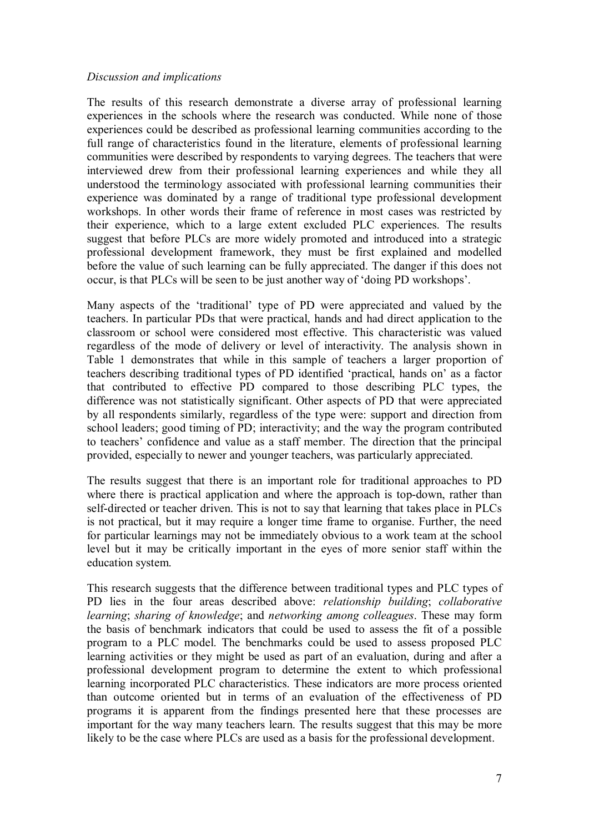### *Discussion and implications*

The results of this research demonstrate a diverse array of professional learning experiences in the schools where the research was conducted. While none of those experiences could be described as professional learning communities according to the full range of characteristics found in the literature, elements of professional learning communities were described by respondents to varying degrees. The teachers that were interviewed drew from their professional learning experiences and while they all understood the terminology associated with professional learning communities their experience was dominated by a range of traditional type professional development workshops. In other words their frame of reference in most cases was restricted by their experience, which to a large extent excluded PLC experiences. The results suggest that before PLCs are more widely promoted and introduced into a strategic professional development framework, they must be first explained and modelled before the value of such learning can be fully appreciated. The danger if this does not occur, is that PLCs will be seen to be just another way of 'doing PD workshops'.

Many aspects of the 'traditional' type of PD were appreciated and valued by the teachers. In particular PDs that were practical, hands and had direct application to the classroom or school were considered most effective. This characteristic was valued regardless of the mode of delivery or level of interactivity. The analysis shown in Table 1 demonstrates that while in this sample of teachers a larger proportion of teachers describing traditional types of PD identified 'practical, hands on' as a factor that contributed to effective PD compared to those describing PLC types, the difference was not statistically significant. Other aspects of PD that were appreciated by all respondents similarly, regardless of the type were: support and direction from school leaders; good timing of PD; interactivity; and the way the program contributed to teachers' confidence and value as a staff member. The direction that the principal provided, especially to newer and younger teachers, was particularly appreciated.

The results suggest that there is an important role for traditional approaches to PD where there is practical application and where the approach is top-down, rather than self-directed or teacher driven. This is not to say that learning that takes place in PLCs is not practical, but it may require a longer time frame to organise. Further, the need for particular learnings may not be immediately obvious to a work team at the school level but it may be critically important in the eyes of more senior staff within the education system.

This research suggests that the difference between traditional types and PLC types of PD lies in the four areas described above: *relationship building*; *collaborative learning*; *sharing of knowledge*; and *networking among colleagues*. These may form the basis of benchmark indicators that could be used to assess the fit of a possible program to a PLC model. The benchmarks could be used to assess proposed PLC learning activities or they might be used as part of an evaluation, during and after a professional development program to determine the extent to which professional learning incorporated PLC characteristics. These indicators are more process oriented than outcome oriented but in terms of an evaluation of the effectiveness of PD programs it is apparent from the findings presented here that these processes are important for the way many teachers learn. The results suggest that this may be more likely to be the case where PLCs are used as a basis for the professional development.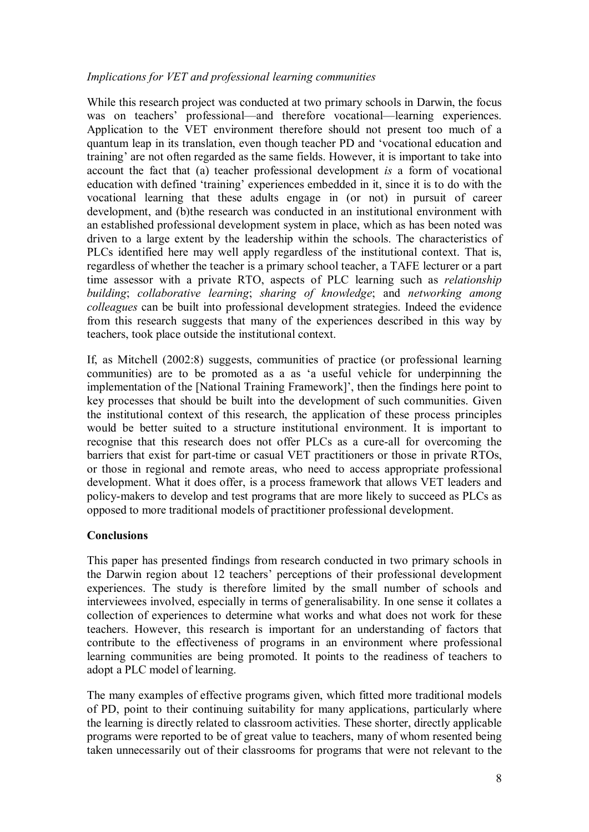# *Implications for VET and professional learning communities*

While this research project was conducted at two primary schools in Darwin, the focus was on teachers' professional—and therefore vocational—learning experiences. Application to the VET environment therefore should not present too much of a quantum leap in its translation, even though teacher PD and 'vocational education and training' are not often regarded as the same fields. However, it is important to take into account the fact that (a) teacher professional development *is* a form of vocational education with defined 'training' experiences embedded in it, since it is to do with the vocational learning that these adults engage in (or not) in pursuit of career development, and (b)the research was conducted in an institutional environment with an established professional development system in place, which as has been noted was driven to a large extent by the leadership within the schools. The characteristics of PLCs identified here may well apply regardless of the institutional context. That is, regardless of whether the teacher is a primary school teacher, a TAFE lecturer or a part time assessor with a private RTO, aspects of PLC learning such as *relationship building*; *collaborative learning*; *sharing of knowledge*; and *networking among colleagues* can be built into professional development strategies. Indeed the evidence from this research suggests that many of the experiences described in this way by teachers, took place outside the institutional context.

If, as Mitchell (2002:8) suggests, communities of practice (or professional learning communities) are to be promoted as a as 'a useful vehicle for underpinning the implementation of the [National Training Framework]', then the findings here point to key processes that should be built into the development of such communities. Given the institutional context of this research, the application of these process principles would be better suited to a structure institutional environment. It is important to recognise that this research does not offer PLCs as a cure-all for overcoming the barriers that exist for part-time or casual VET practitioners or those in private RTOs, or those in regional and remote areas, who need to access appropriate professional development. What it does offer, is a process framework that allows VET leaders and policymakers to develop and test programs that are more likely to succeed as PLCs as opposed to more traditional models of practitioner professional development.

# **Conclusions**

This paper has presented findings from research conducted in two primary schools in the Darwin region about 12 teachers' perceptions of their professional development experiences. The study is therefore limited by the small number of schools and interviewees involved, especially in terms of generalisability. In one sense it collates a collection of experiences to determine what works and what does not work for these teachers. However, this research is important for an understanding of factors that contribute to the effectiveness of programs in an environment where professional learning communities are being promoted. It points to the readiness of teachers to adopt a PLC model of learning.

The many examples of effective programs given, which fitted more traditional models of PD, point to their continuing suitability for many applications, particularly where the learning is directly related to classroom activities. These shorter, directly applicable programs were reported to be of great value to teachers, many of whom resented being taken unnecessarily out of their classrooms for programs that were not relevant to the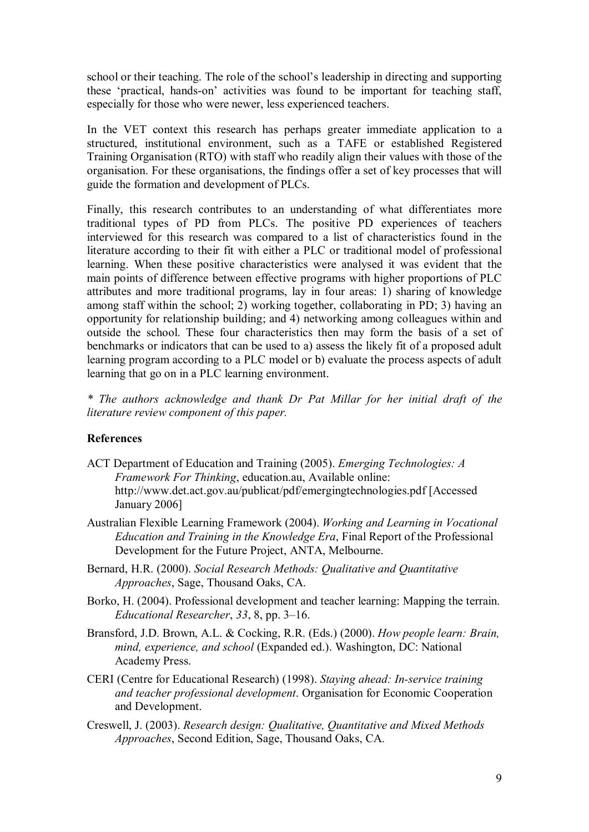school or their teaching. The role of the school's leadership in directing and supporting these 'practical, hands-on' activities was found to be important for teaching staff, especially for those who were newer, less experienced teachers.

In the VET context this research has perhaps greater immediate application to a structured, institutional environment, such as a TAFE or established Registered Training Organisation (RTO) with staff who readily align their values with those of the organisation. For these organisations, the findings offer a set of key processes that will guide the formation and development of PLCs.

Finally, this research contributes to an understanding of what differentiates more traditional types of PD from PLCs. The positive PD experiences of teachers interviewed for this research was compared to a list of characteristics found in the literature according to their fit with either a PLC or traditional model of professional learning. When these positive characteristics were analysed it was evident that the main points of difference between effective programs with higher proportions of PLC attributes and more traditional programs, lay in four areas: 1) sharing of knowledge among staff within the school; 2) working together, collaborating in PD; 3) having an opportunity for relationship building; and 4) networking among colleagues within and outside the school. These four characteristics then may form the basis of a set of benchmarks or indicators that can be used to a) assess the likely fit of a proposed adult learning program according to a PLC model or b) evaluate the process aspects of adult learning that go on in a PLC learning environment.

*\* The authors acknowledge and thank Dr Pat Millar for her initial draft of the literature review component of this paper.*

## **References**

- ACT Department of Education and Training (2005). *Emerging Technologies: A Framework For Thinking*, [education.au, Available online:](http://www.det.act.gov.au/publicat/pdf/emergingtechnologies.pdf)  <http://www.det.act.gov.au/publicat/pdf/emergingtechnologies.pdf> [Accessed January 2006]
- Australian Flexible Learning Framework (2004). *Working and Learning in Vocational Education and Training in the Knowledge Era*, Final Report of the Professional Development for the Future Project, ANTA, Melbourne.
- Bernard, H.R. (2000). *Social Research Methods: Qualitative and Quantitative Approaches*, Sage, Thousand Oaks, CA.
- Borko, H. (2004). Professional development and teacher learning: Mapping the terrain. *Educational Researcher*, *33*, 8, pp. 3–16.
- Bransford, J.D. Brown, A.L. & Cocking, R.R. (Eds.) (2000). *How people learn: Brain, mind, experience, and school* (Expanded ed.). Washington, DC: National Academy Press.
- CERI (Centre for Educational Research) (1998). *Staying ahead: In-service training and teacher professional development*. Organisation for Economic Cooperation and Development.
- Creswell, J. (2003). *Research design: Qualitative, Quantitative and Mixed Methods Approaches*, Second Edition, Sage, Thousand Oaks, CA.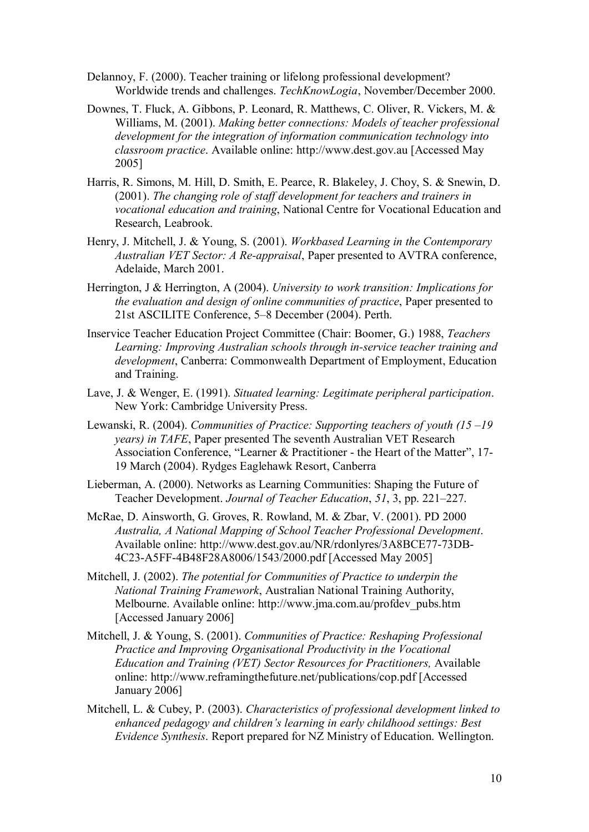- Delannoy, F. (2000). Teacher training or lifelong professional development? Worldwide trends and challenges. *TechKnowLogia*, November/December 2000.
- Downes, T. Fluck, A. Gibbons, P. Leonard, R. Matthews, C. Oliver, R. Vickers, M. & Williams, M. (2001). *Making better connections: Models of teacher professional development for the integration of information communication technology into classroom practice*. Available online: [http://www.dest.gov.au](http://www.dest.gov.au/) [Accessed May 2005]
- Harris, R. Simons, M. Hill, D. Smith, E. Pearce, R. Blakeley, J. Choy, S. & Snewin, D. (2001). *The changing role of staff development for teachers and trainers in vocational education and training*, National Centre for Vocational Education and Research, Leabrook.
- Henry, J. Mitchell, J. & Young, S. (2001). *Workbased Learning in the Contemporary Australian VET Sector: A Reappraisal*, Paper presented to AVTRA conference, Adelaide, March 2001.
- Herrington, J & Herrington, A (2004). *University to work transition: Implications for the evaluation and design of online communities of practice*, Paper presented to 21st ASCILITE Conference, 5–8 December (2004). Perth.
- Inservice Teacher Education Project Committee (Chair: Boomer, G.) 1988, *Teachers Learning: Improving Australian schools through in-service teacher training and development*, Canberra: Commonwealth Department of Employment, Education and Training.
- Lave, J. & Wenger, E. (1991). *Situated learning: Legitimate peripheral participation*. New York: Cambridge University Press.
- Lewanski, R. (2004). *Communities of Practice: Supporting teachers of youth (15 –19 years) in TAFE*, Paper presented The seventh Australian VET Research Association Conference, "Learner & Practitioner - the Heart of the Matter", 17-19 March (2004). Rydges Eaglehawk Resort, Canberra
- Lieberman, A. (2000). Networks as Learning Communities: Shaping the Future of Teacher Development. *Journal of Teacher Education*, *51*, 3, pp. 221–227.
- McRae, D. Ainsworth, G. Groves, R. Rowland, M. & Zbar, V. (2001). PD 2000 *Australia, A National Mapping of School Teacher Professional Development*. Available online: http://www.dest.gov.au/NR/rdonlyres/3A8BCE77-73DB-4C23A5FF4B48F28A8006/1543/2000.pdf [Accessed May 2005]
- Mitchell, J. (2002). *The potential for Communities of Practice to underpin the National Training Framework*, Australian National Training Authority, Melbourne. Available online: [http://www.jma.com.au/profdev\\_pubs.htm](http://www.jma.com.au/profdev_pubs.htm) [Accessed January 2006]
- Mitchell, J. & Young, S. (2001). *Communities of Practice: Reshaping Professional Practice and Improving Organisational Productivity in the Vocational Education and Training (VET) Sector Resources for Practitioners,* Available online:<http://www.reframingthefuture.net/publications/cop.pdf> [Accessed January 2006]
- Mitchell, L. & Cubey, P. (2003). *Characteristics of professional development linked to enhanced pedagogy and children's learning in early childhood settings: Best Evidence Synthesis*. Report prepared for NZ Ministry of Education. Wellington.